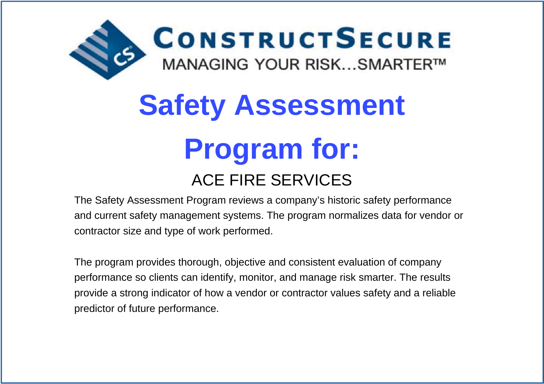

# **Safety AssessmentProgram for:**

# ACE FIRE SERVICES

 The Safety Assessment Program reviews a company's historic safety performanceand current safety management systems. The program normalizes data for vendor orcontractor size and type of work performed.

The program provides thorough, objective and consistent evaluation of companyperformance so clients can identify, monitor, and manage risk smarter. The resultsprovide a strong indicator of how a vendor or contractor values safety and a reliablepredictor of future performance.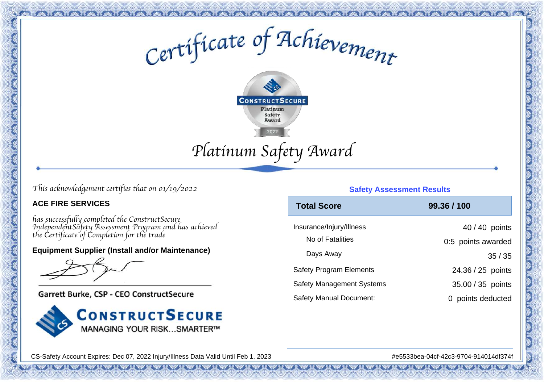Certificate of Achievement



# *This acknowledgement certifies that on 01/19/2022*

#### **ACE FIRE SERVICES**

*has successfully completed the ConstructSecure IndependentSafety Assessment Program and has achievedthe Certificate of Completion for the trade*

#### **Equipment Supplier (Install and/or Maintenance)**

Garrett Burke, CSP - CEO ConstructSecure



#### **Safety Assessment Results**

| <b>Total Score</b>               | 99.36 / 100        |
|----------------------------------|--------------------|
| Insurance/Injury/Illness         | 40 / 40 points     |
| No of Fatalities                 | 0:5 points awarded |
| Days Away                        | 35/35              |
| <b>Safety Program Elements</b>   | 24.36 / 25 points  |
| <b>Safety Management Systems</b> | 35.00 / 35 points  |
| <b>Safety Manual Document:</b>   | points deducted    |

CS-Safety Account Expires: Dec 07, 2022 Injury/Illness Data Valid Until Feb 1, 2023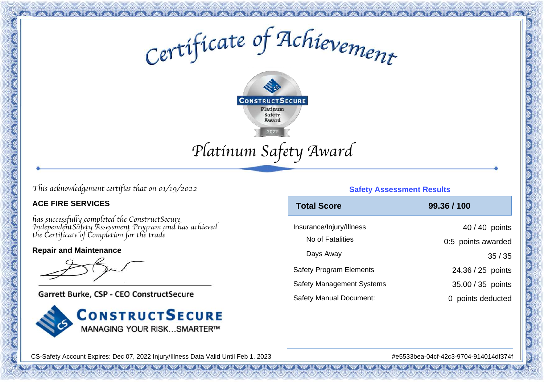Certificate of Achievement



# *This acknowledgement certifies that on 01/19/2022*

#### **ACE FIRE SERVICES**

*has successfully completed the ConstructSecure IndependentSafety Assessment Program and has achievedthe Certificate of Completion for the trade*

#### **Repair and Maintenance**

Garrett Burke, CSP - CEO ConstructSecure



#### **Safety Assessment Results**

| <b>Total Score</b>               | 99.36 / 100        |
|----------------------------------|--------------------|
| Insurance/Injury/Illness         | 40 / 40 points     |
| No of Fatalities                 | 0:5 points awarded |
| Days Away                        | 35/35              |
| <b>Safety Program Elements</b>   | 24.36 / 25 points  |
| <b>Safety Management Systems</b> | 35.00 / 35 points  |
| <b>Safety Manual Document:</b>   | points deducted    |

CS-Safety Account Expires: Dec 07, 2022 Injury/Illness Data Valid Until Feb 1, 2023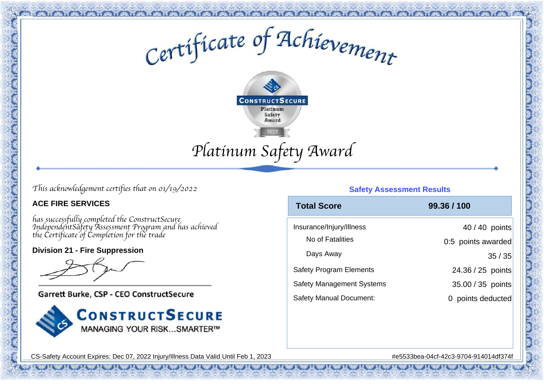Certificate of Achievement



*This acknowledgement certifies that on 01/19/2022*

#### **ACE FIRE SERVICES**

*has successfully completed the ConstructSecure IndependentSafety Assessment Program and has achievedthe Certificate of Completion for the trade*

#### **Division 21 - Fire Suppression**

Garrett Burke, CSP - CEO ConstructSecure



#### **Safety Assessment Results**

| <b>Total Score</b>               | 99.36 / 100        |
|----------------------------------|--------------------|
| Insurance/Injury/Illness         | 40 / 40 points     |
| No of Fatalities                 | 0:5 points awarded |
| Days Away                        | 35/35              |
| <b>Safety Program Elements</b>   | 24.36 / 25 points  |
| <b>Safety Management Systems</b> | 35.00 / 35 points  |
| <b>Safety Manual Document:</b>   | points deducted    |

CS-Safety Account Expires: Dec 07, 2022 Injury/Illness Data Valid Until Feb 1, 2023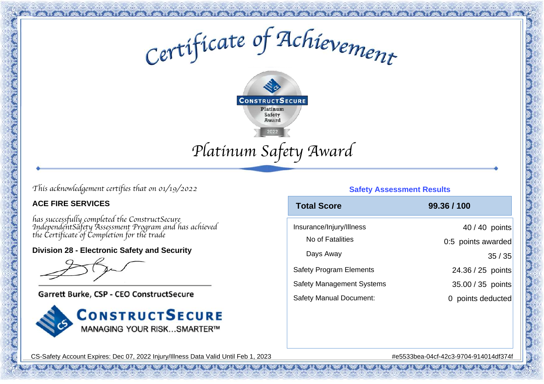Certificate of Achievement



*This acknowledgement certifies that on 01/19/2022*

#### **ACE FIRE SERVICES**

*has successfully completed the ConstructSecure IndependentSafety Assessment Program and has achievedthe Certificate of Completion for the trade*

**Division 28 - Electronic Safety and Security**

Garrett Burke, CSP - CEO ConstructSecure



#### **Safety Assessment Results**

| <b>Total Score</b>               | 99.36 / 100        |
|----------------------------------|--------------------|
| Insurance/Injury/Illness         | 40 / 40 points     |
| No of Fatalities                 | 0:5 points awarded |
| Days Away                        | 35/35              |
| <b>Safety Program Elements</b>   | 24.36 / 25 points  |
| <b>Safety Management Systems</b> | 35.00 / 35 points  |
| <b>Safety Manual Document:</b>   | points deducted    |

CS-Safety Account Expires: Dec 07, 2022 Injury/Illness Data Valid Until Feb 1, 2023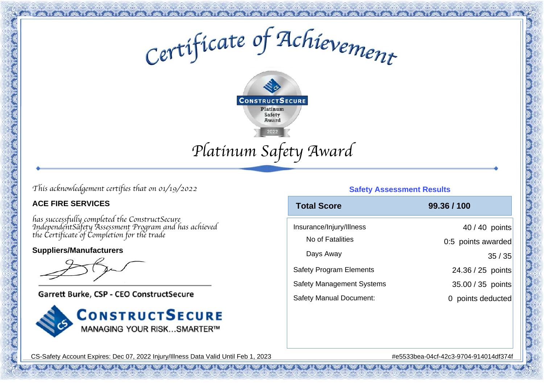Certificate of Achievement



# *This acknowledgement certifies that on 01/19/2022*

#### **ACE FIRE SERVICES**

*has successfully completed the ConstructSecure IndependentSafety Assessment Program and has achievedthe Certificate of Completion for the trade*

#### **Suppliers/Manufacturers**

Garrett Burke, CSP - CEO ConstructSecure



#### **Safety Assessment Results**

| <b>Total Score</b>               | 99.36 / 100        |
|----------------------------------|--------------------|
| Insurance/Injury/Illness         | 40 / 40 points     |
| No of Fatalities                 | 0:5 points awarded |
| Days Away                        | 35/35              |
| <b>Safety Program Elements</b>   | 24.36 / 25 points  |
| <b>Safety Management Systems</b> | 35.00 / 35 points  |
| <b>Safety Manual Document:</b>   | points deducted    |

CS-Safety Account Expires: Dec 07, 2022 Injury/Illness Data Valid Until Feb 1, 2023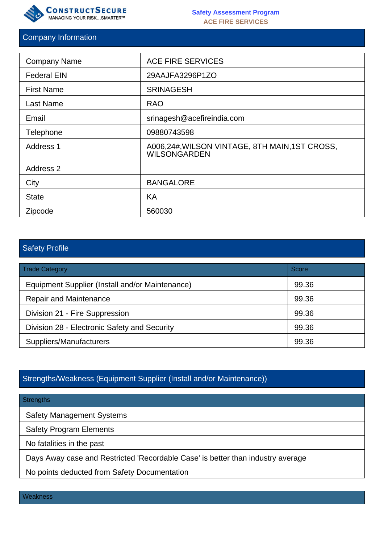

#### Company Information

| <b>Company Name</b> | <b>ACE FIRE SERVICES</b>                                              |
|---------------------|-----------------------------------------------------------------------|
| <b>Federal EIN</b>  | 29AAJFA3296P1ZO                                                       |
| <b>First Name</b>   | <b>SRINAGESH</b>                                                      |
| Last Name           | <b>RAO</b>                                                            |
| Email               | srinagesh@acefireindia.com                                            |
| Telephone           | 09880743598                                                           |
| <b>Address 1</b>    | A006,24#, WILSON VINTAGE, 8TH MAIN, 1ST CROSS,<br><b>WILSONGARDEN</b> |
| <b>Address 2</b>    |                                                                       |
| City                | <b>BANGALORE</b>                                                      |
| <b>State</b>        | KA                                                                    |
| Zipcode             | 560030                                                                |

# Safety Profile

| <b>Trade Category</b>                           | Score |
|-------------------------------------------------|-------|
| Equipment Supplier (Install and/or Maintenance) | 99.36 |
| <b>Repair and Maintenance</b>                   | 99.36 |
| Division 21 - Fire Suppression                  | 99.36 |
| Division 28 - Electronic Safety and Security    | 99.36 |
| Suppliers/Manufacturers                         | 99.36 |

# Strengths/Weakness (Equipment Supplier (Install and/or Maintenance))

#### **Strengths**

Safety Management Systems

Safety Program Elements

No fatalities in the past

Days Away case and Restricted 'Recordable Case' is better than industry average

No points deducted from Safety Documentation

**Weakness**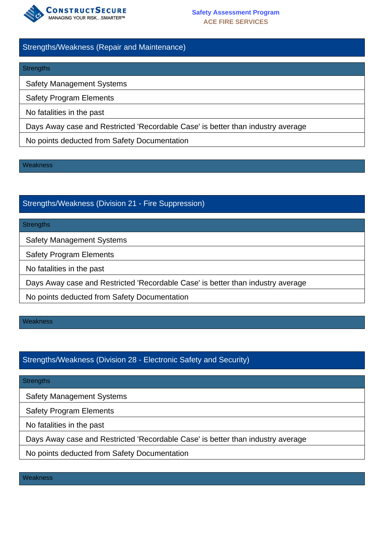

#### Strengths/Weakness (Repair and Maintenance)

#### **Strengths**

Safety Management Systems

Safety Program Elements

No fatalities in the past

Days Away case and Restricted 'Recordable Case' is better than industry average

No points deducted from Safety Documentation

**Weakness** 

# Strengths/Weakness (Division 21 - Fire Suppression)

#### **Strengths**

Safety Management Systems

Safety Program Elements

No fatalities in the past

Days Away case and Restricted 'Recordable Case' is better than industry average

No points deducted from Safety Documentation

**Weakness** 

#### Strengths/Weakness (Division 28 - Electronic Safety and Security)

#### **Strengths**

Safety Management Systems

Safety Program Elements

No fatalities in the past

Days Away case and Restricted 'Recordable Case' is better than industry average

No points deducted from Safety Documentation

**Weakness**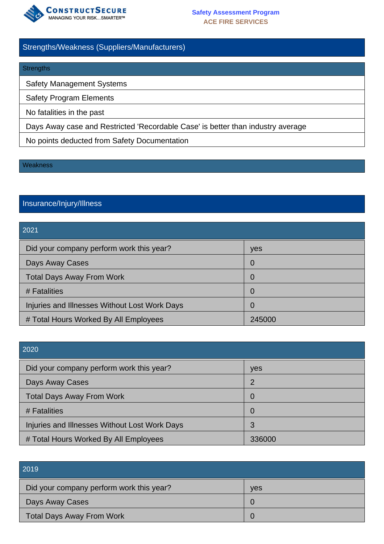

#### Strengths/Weakness (Suppliers/Manufacturers)

#### **Strengths**

Safety Management Systems

Safety Program Elements

No fatalities in the past

Days Away case and Restricted 'Recordable Case' is better than industry average

No points deducted from Safety Documentation

#### **Weakness**

# Insurance/Injury/Illness

#### 2021

| Did your company perform work this year?      | yes    |
|-----------------------------------------------|--------|
| Days Away Cases                               | O      |
| <b>Total Days Away From Work</b>              | 0      |
| # Fatalities                                  | 0      |
| Injuries and Illnesses Without Lost Work Days | 0      |
| # Total Hours Worked By All Employees         | 245000 |

| 2020                                          |                |
|-----------------------------------------------|----------------|
| Did your company perform work this year?      | yes            |
| Days Away Cases                               | 2              |
| <b>Total Days Away From Work</b>              | 0              |
| # Fatalities                                  | $\overline{0}$ |
| Injuries and Illnesses Without Lost Work Days | 3              |
| # Total Hours Worked By All Employees         | 336000         |

| 2019                                     |            |
|------------------------------------------|------------|
| Did your company perform work this year? | <b>ves</b> |
| Days Away Cases                          |            |
| <b>Total Days Away From Work</b>         |            |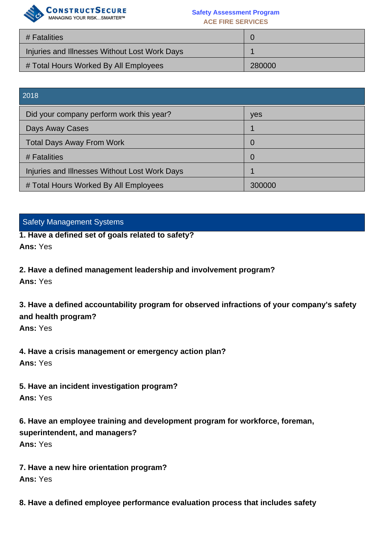

#### **Safety Assessment Program ACE FIRE SERVICES**

| # Fatalities                                  |        |
|-----------------------------------------------|--------|
| Injuries and Illnesses Without Lost Work Days |        |
| # Total Hours Worked By All Employees         | 280000 |

| 2018                                          |        |
|-----------------------------------------------|--------|
| Did your company perform work this year?      | yes    |
| Days Away Cases                               |        |
| <b>Total Days Away From Work</b>              | 0      |
| # Fatalities                                  | 0      |
| Injuries and Illnesses Without Lost Work Days |        |
| # Total Hours Worked By All Employees         | 300000 |

#### Safety Management Systems

**1. Have a defined set of goals related to safety? Ans:** Yes

**2. Have a defined management leadership and involvement program?**

**Ans:** Yes

**3. Have a defined accountability program for observed infractions of your company's safety and health program?**

**Ans:** Yes

**4. Have a crisis management or emergency action plan? Ans:** Yes

**5. Have an incident investigation program? Ans:** Yes

**6. Have an employee training and development program for workforce, foreman, superintendent, and managers? Ans:** Yes

**7. Have a new hire orientation program? Ans:** Yes

**8. Have a defined employee performance evaluation process that includes safety**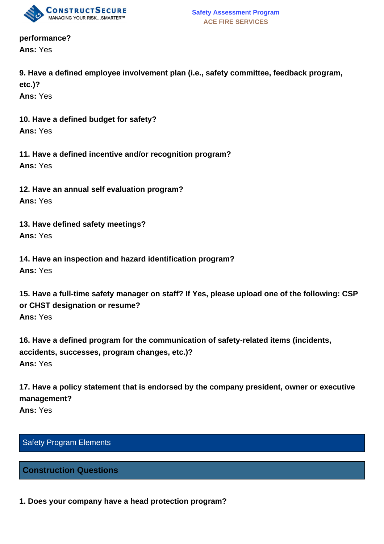

**performance? Ans:** Yes

**9. Have a defined employee involvement plan (i.e., safety committee, feedback program, etc.)?**

**Ans:** Yes

**10. Have a defined budget for safety? Ans:** Yes

**11. Have a defined incentive and/or recognition program? Ans:** Yes

**12. Have an annual self evaluation program? Ans:** Yes

**13. Have defined safety meetings? Ans:** Yes

**14. Have an inspection and hazard identification program? Ans:** Yes

**15. Have a full-time safety manager on staff? If Yes, please upload one of the following: CSP or CHST designation or resume? Ans:** Yes

**16. Have a defined program for the communication of safety-related items (incidents, accidents, successes, program changes, etc.)? Ans:** Yes

**17. Have a policy statement that is endorsed by the company president, owner or executive management?**

**Ans:** Yes

# Safety Program Elements

#### **Construction Questions**

**1. Does your company have a head protection program?**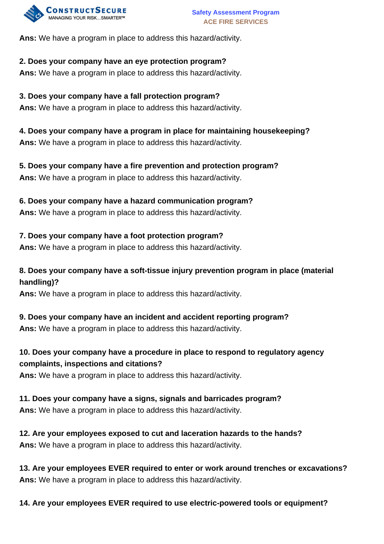

**Ans:** We have a program in place to address this hazard/activity.

#### **2. Does your company have an eye protection program?**

**Ans:** We have a program in place to address this hazard/activity.

**3. Does your company have a fall protection program? Ans:** We have a program in place to address this hazard/activity.

**4. Does your company have a program in place for maintaining housekeeping? Ans:** We have a program in place to address this hazard/activity.

**5. Does your company have a fire prevention and protection program? Ans:** We have a program in place to address this hazard/activity.

#### **6. Does your company have a hazard communication program?**

**Ans:** We have a program in place to address this hazard/activity.

#### **7. Does your company have a foot protection program?**

**Ans:** We have a program in place to address this hazard/activity.

# **8. Does your company have a soft-tissue injury prevention program in place (material handling)?**

**Ans:** We have a program in place to address this hazard/activity.

# **9. Does your company have an incident and accident reporting program?**

**Ans:** We have a program in place to address this hazard/activity.

# **10. Does your company have a procedure in place to respond to regulatory agency complaints, inspections and citations?**

**Ans:** We have a program in place to address this hazard/activity.

# **11. Does your company have a signs, signals and barricades program?**

**Ans:** We have a program in place to address this hazard/activity.

**12. Are your employees exposed to cut and laceration hazards to the hands? Ans:** We have a program in place to address this hazard/activity.

**13. Are your employees EVER required to enter or work around trenches or excavations? Ans:** We have a program in place to address this hazard/activity.

**14. Are your employees EVER required to use electric-powered tools or equipment?**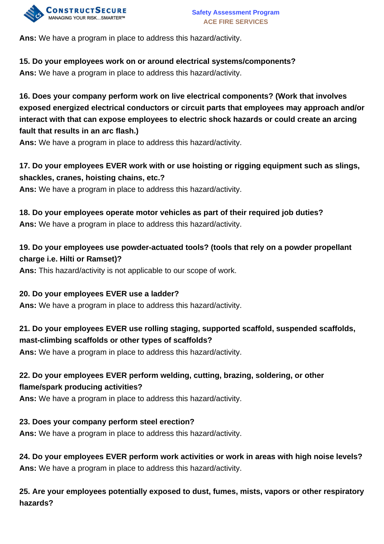

**Ans:** We have a program in place to address this hazard/activity.

# **15. Do your employees work on or around electrical systems/components?**

**Ans:** We have a program in place to address this hazard/activity.

**16. Does your company perform work on live electrical components? (Work that involves exposed energized electrical conductors or circuit parts that employees may approach and/or interact with that can expose employees to electric shock hazards or could create an arcing fault that results in an arc flash.)**

**Ans:** We have a program in place to address this hazard/activity.

# **17. Do your employees EVER work with or use hoisting or rigging equipment such as slings, shackles, cranes, hoisting chains, etc.?**

**Ans:** We have a program in place to address this hazard/activity.

# **18. Do your employees operate motor vehicles as part of their required job duties? Ans:** We have a program in place to address this hazard/activity.

# **19. Do your employees use powder-actuated tools? (tools that rely on a powder propellant charge i.e. Hilti or Ramset)?**

**Ans:** This hazard/activity is not applicable to our scope of work.

# **20. Do your employees EVER use a ladder?**

**Ans:** We have a program in place to address this hazard/activity.

# **21. Do your employees EVER use rolling staging, supported scaffold, suspended scaffolds, mast-climbing scaffolds or other types of scaffolds?**

**Ans:** We have a program in place to address this hazard/activity.

# **22. Do your employees EVER perform welding, cutting, brazing, soldering, or other flame/spark producing activities?**

**Ans:** We have a program in place to address this hazard/activity.

# **23. Does your company perform steel erection?**

**Ans:** We have a program in place to address this hazard/activity.

**24. Do your employees EVER perform work activities or work in areas with high noise levels? Ans:** We have a program in place to address this hazard/activity.

**25. Are your employees potentially exposed to dust, fumes, mists, vapors or other respiratory hazards?**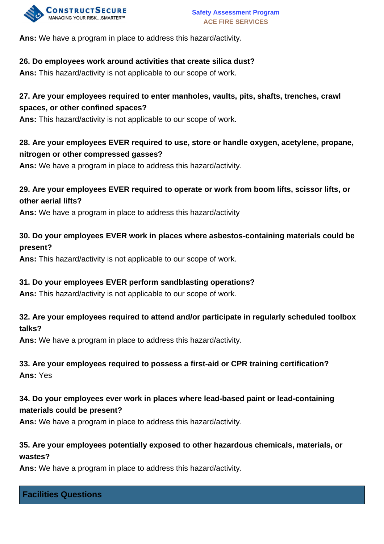

**Ans:** We have a program in place to address this hazard/activity.

#### **26. Do employees work around activities that create silica dust?**

**Ans:** This hazard/activity is not applicable to our scope of work.

# **27. Are your employees required to enter manholes, vaults, pits, shafts, trenches, crawl spaces, or other confined spaces?**

**Ans:** This hazard/activity is not applicable to our scope of work.

# **28. Are your employees EVER required to use, store or handle oxygen, acetylene, propane, nitrogen or other compressed gasses?**

**Ans:** We have a program in place to address this hazard/activity.

# **29. Are your employees EVER required to operate or work from boom lifts, scissor lifts, or other aerial lifts?**

**Ans:** We have a program in place to address this hazard/activity

#### **30. Do your employees EVER work in places where asbestos-containing materials could be present?**

**Ans:** This hazard/activity is not applicable to our scope of work.

#### **31. Do your employees EVER perform sandblasting operations?**

**Ans:** This hazard/activity is not applicable to our scope of work.

# **32. Are your employees required to attend and/or participate in regularly scheduled toolbox talks?**

**Ans:** We have a program in place to address this hazard/activity.

# **33. Are your employees required to possess a first-aid or CPR training certification? Ans:** Yes

# **34. Do your employees ever work in places where lead-based paint or lead-containing materials could be present?**

**Ans:** We have a program in place to address this hazard/activity.

# **35. Are your employees potentially exposed to other hazardous chemicals, materials, or wastes?**

**Ans:** We have a program in place to address this hazard/activity.

# **Facilities Questions**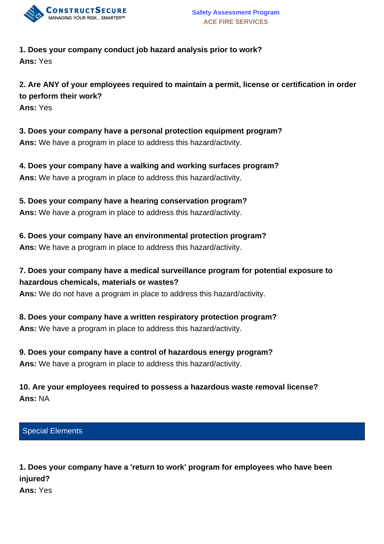

#### **1. Does your company conduct job hazard analysis prior to work? Ans:** Yes

**2. Are ANY of your employees required to maintain a permit, license or certification in order to perform their work? Ans:** Yes

- **3. Does your company have a personal protection equipment program? Ans:** We have a program in place to address this hazard/activity.
- **4. Does your company have a walking and working surfaces program? Ans:** We have a program in place to address this hazard/activity.
- **5. Does your company have a hearing conservation program? Ans:** We have a program in place to address this hazard/activity.
- **6. Does your company have an environmental protection program? Ans:** We have a program in place to address this hazard/activity.
- **7. Does your company have a medical surveillance program for potential exposure to hazardous chemicals, materials or wastes?**
- **Ans:** We do not have a program in place to address this hazard/activity.
- **8. Does your company have a written respiratory protection program? Ans:** We have a program in place to address this hazard/activity.
- **9. Does your company have a control of hazardous energy program? Ans:** We have a program in place to address this hazard/activity.
- **10. Are your employees required to possess a hazardous waste removal license? Ans:** NA
- Special Elements
- **1. Does your company have a 'return to work' program for employees who have been injured? Ans:** Yes